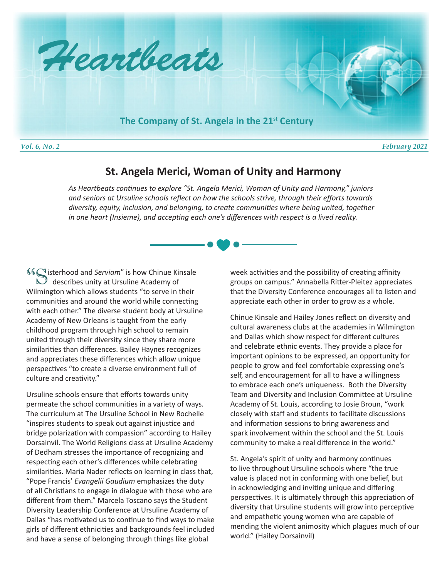

# **St. Angela Merici, Woman of Unity and Harmony**

*As Heartbeats continues to explore "St. Angela Merici, Woman of Unity and Harmony," juniors and seniors at Ursuline schools reflect on how the schools strive, through their efforts towards diversity, equity, inclusion, and belonging, to create communities where being united, together in one heart (Insieme), and accepting each one's differences with respect is a lived reality.*

**If**  $\mathbb{C}$  isterhood and *Serviam*" is how Chinue Kinsale **46 Sisterhood and Serviam" is how Chinue King Services** unity at Ursuline Academy of Wilmington which allows students "to serve in their communities and around the world while connecting with each other." The diverse student body at Ursuline Academy of New Orleans is taught from the early childhood program through high school to remain united through their diversity since they share more similarities than differences. Bailey Haynes recognizes and appreciates these differences which allow unique perspectives "to create a diverse environment full of culture and creativity."

Ursuline schools ensure that efforts towards unity permeate the school communities in a variety of ways. The curriculum at The Ursuline School in New Rochelle "inspires students to speak out against injustice and bridge polarization with compassion" according to Hailey Dorsainvil. The World Religions class at Ursuline Academy of Dedham stresses the importance of recognizing and respecting each other's differences while celebrating similarities. Maria Nader reflects on learning in class that, "Pope Francis' *Evangelii Gaudium* emphasizes the duty of all Christians to engage in dialogue with those who are different from them." Marcela Toscano says the Student Diversity Leadership Conference at Ursuline Academy of Dallas "has motivated us to continue to find ways to make girls of different ethnicities and backgrounds feel included and have a sense of belonging through things like global

week activities and the possibility of creating affinity groups on campus." Annabella Ritter-Pleitez appreciates that the Diversity Conference encourages all to listen and appreciate each other in order to grow as a whole.

Chinue Kinsale and Hailey Jones reflect on diversity and cultural awareness clubs at the academies in Wilmington and Dallas which show respect for different cultures and celebrate ethnic events. They provide a place for important opinions to be expressed, an opportunity for people to grow and feel comfortable expressing one's self, and encouragement for all to have a willingness to embrace each one's uniqueness. Both the Diversity Team and Diversity and Inclusion Committee at Ursuline Academy of St. Louis, according to Josie Broun, "work closely with staff and students to facilitate discussions and information sessions to bring awareness and spark involvement within the school and the St. Louis community to make a real difference in the world."

St. Angela's spirit of unity and harmony continues to live throughout Ursuline schools where "the true value is placed not in conforming with one belief, but in acknowledging and inviting unique and differing perspectives. It is ultimately through this appreciation of diversity that Ursuline students will grow into perceptive and empathetic young women who are capable of mending the violent animosity which plagues much of our world." (Hailey Dorsainvil)